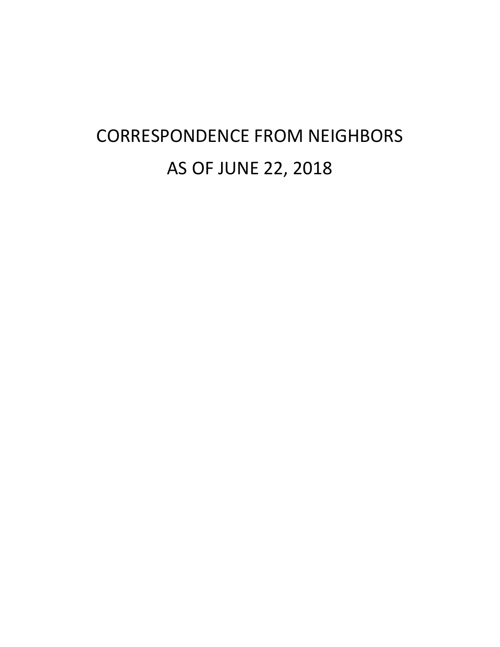# CORRESPONDENCE FROM NEIGHBORS AS OF JUNE 22, 2018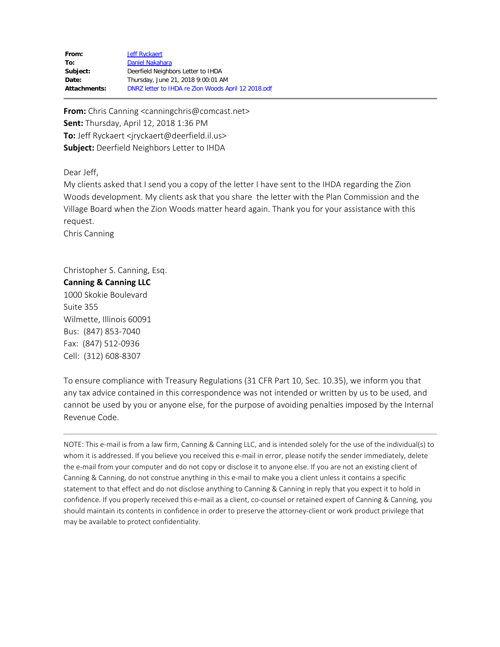| From:               | Jeff Ryckaert                                       |
|---------------------|-----------------------------------------------------|
| To:                 | Daniel Nakahara                                     |
| Subject:            | Deerfield Neighbors Letter to IHDA                  |
| Date:               | Thursday, June 21, 2018 9:00:01 AM                  |
| <b>Attachments:</b> | DNRZ letter to IHDA re Zion Woods April 12 2018.pdf |

**From:** Chris Canning <canningchris@comcast.net> **Sent:** Thursday, April 12, 2018 1:36 PM **To:** Jeff Ryckaert <jryckaert@deerfield.il.us> **Subject:** Deerfield Neighbors Letter to IHDA

Dear Jeff,

My clients asked that I send you a copy of the letter I have sent to the IHDA regarding the Zion Woods development. My clients ask that you share the letter with the Plan Commission and the Village Board when the Zion Woods matter heard again. Thank you for your assistance with this request.

Chris Canning

Christopher S. Canning, Esq. **Canning & Canning LLC** 1000 Skokie Boulevard Suite 355 Wilmette, Illinois 60091 Bus: (847) 853-7040 Fax: (847) 512-0936 Cell: (312) 608-8307

To ensure compliance with Treasury Regulations (31 CFR Part 10, Sec. 10.35), we inform you that any tax advice contained in this correspondence was not intended or written by us to be used, and cannot be used by you or anyone else, for the purpose of avoiding penalties imposed by the Internal Revenue Code.

NOTE: This e-mail is from a law firm, Canning & Canning LLC, and is intended solely for the use of the individual(s) to whom it is addressed. If you believe you received this e-mail in error, please notify the sender immediately, delete the e-mail from your computer and do not copy or disclose it to anyone else. If you are not an existing client of Canning & Canning, do not construe anything in this e-mail to make you a client unless it contains a specific statement to that effect and do not disclose anything to Canning & Canning in reply that you expect it to hold in confidence. If you properly received this e-mail as a client, co-counsel or retained expert of Canning & Canning, you should maintain its contents in confidence in order to preserve the attorney-client or work product privilege that may be available to protect confidentiality.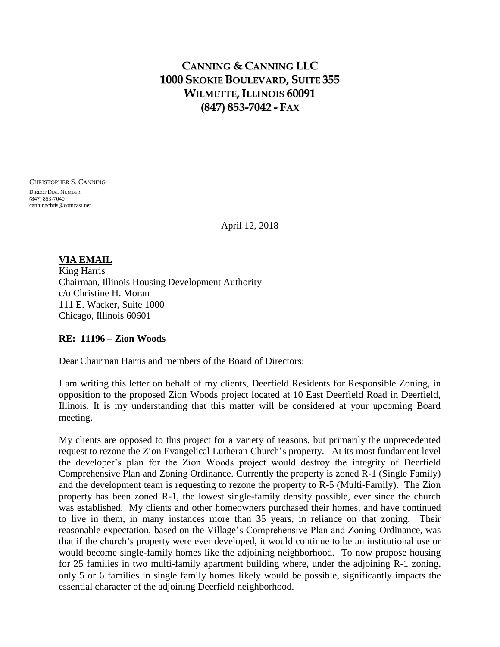# **CANNING & CANNING LLC 1000 SKOKIE BOULEVARD, SUITE 355 WILMETTE,ILLINOIS 60091 (847) 853-7042 - FAX**

CHRISTOPHER S. CANNING DIRECT DIAL NUMBER (847) 853-7040 canningchris@comcast.net

April 12, 2018

## **VIA EMAIL**

King Harris Chairman, Illinois Housing Development Authority c/o Christine H. Moran 111 E. Wacker, Suite 1000 Chicago, Illinois 60601

## **RE: 11196 – Zion Woods**

Dear Chairman Harris and members of the Board of Directors:

I am writing this letter on behalf of my clients, Deerfield Residents for Responsible Zoning, in opposition to the proposed Zion Woods project located at 10 East Deerfield Road in Deerfield, Illinois. It is my understanding that this matter will be considered at your upcoming Board meeting.

My clients are opposed to this project for a variety of reasons, but primarily the unprecedented request to rezone the Zion Evangelical Lutheran Church's property. At its most fundament level the developer's plan for the Zion Woods project would destroy the integrity of Deerfield Comprehensive Plan and Zoning Ordinance. Currently the property is zoned R-1 (Single Family) and the development team is requesting to rezone the property to R-5 (Multi-Family). The Zion property has been zoned R-1, the lowest single-family density possible, ever since the church was established. My clients and other homeowners purchased their homes, and have continued to live in them, in many instances more than 35 years, in reliance on that zoning. Their reasonable expectation, based on the Village's Comprehensive Plan and Zoning Ordinance, was that if the church's property were ever developed, it would continue to be an institutional use or would become single-family homes like the adjoining neighborhood. To now propose housing for 25 families in two multi-family apartment building where, under the adjoining R-1 zoning, only 5 or 6 families in single family homes likely would be possible, significantly impacts the essential character of the adjoining Deerfield neighborhood.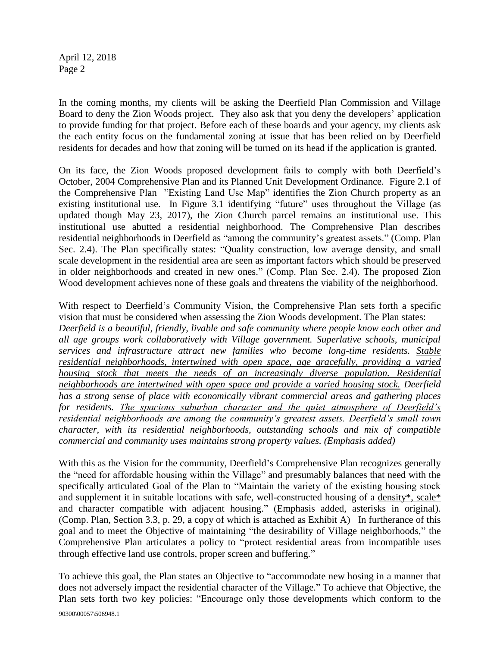April 12, 2018 Page 2

In the coming months, my clients will be asking the Deerfield Plan Commission and Village Board to deny the Zion Woods project. They also ask that you deny the developers' application to provide funding for that project. Before each of these boards and your agency, my clients ask the each entity focus on the fundamental zoning at issue that has been relied on by Deerfield residents for decades and how that zoning will be turned on its head if the application is granted.

On its face, the Zion Woods proposed development fails to comply with both Deerfield's October, 2004 Comprehensive Plan and its Planned Unit Development Ordinance. Figure 2.1 of the Comprehensive Plan "Existing Land Use Map" identifies the Zion Church property as an existing institutional use. In Figure 3.1 identifying "future" uses throughout the Village (as updated though May 23, 2017), the Zion Church parcel remains an institutional use. This institutional use abutted a residential neighborhood. The Comprehensive Plan describes residential neighborhoods in Deerfield as "among the community's greatest assets." (Comp. Plan Sec. 2.4). The Plan specifically states: "Quality construction, low average density, and small scale development in the residential area are seen as important factors which should be preserved in older neighborhoods and created in new ones." (Comp. Plan Sec. 2.4). The proposed Zion Wood development achieves none of these goals and threatens the viability of the neighborhood.

With respect to Deerfield's Community Vision, the Comprehensive Plan sets forth a specific vision that must be considered when assessing the Zion Woods development. The Plan states: *Deerfield is a beautiful, friendly, livable and safe community where people know each other and all age groups work collaboratively with Village government. Superlative schools, municipal services and infrastructure attract new families who become long-time residents. Stable residential neighborhoods, intertwined with open space, age gracefully, providing a varied housing stock that meets the needs of an increasingly diverse population. Residential neighborhoods are intertwined with open space and provide a varied housing stock. Deerfield has a strong sense of place with economically vibrant commercial areas and gathering places for residents. The spacious suburban character and the quiet atmosphere of Deerfield's residential neighborhoods are among the community's greatest assets. Deerfield's small town character, with its residential neighborhoods, outstanding schools and mix of compatible commercial and community uses maintains strong property values. (Emphasis added)*

With this as the Vision for the community, Deerfield's Comprehensive Plan recognizes generally the "need for affordable housing within the Village" and presumably balances that need with the specifically articulated Goal of the Plan to "Maintain the variety of the existing housing stock and supplement it in suitable locations with safe, well-constructed housing of a density\*, scale\* and character compatible with adjacent housing." (Emphasis added, asterisks in original). (Comp. Plan, Section 3.3, p. 29, a copy of which is attached as Exhibit A) In furtherance of this goal and to meet the Objective of maintaining "the desirability of Village neighborhoods," the Comprehensive Plan articulates a policy to "protect residential areas from incompatible uses through effective land use controls, proper screen and buffering."

90300\00057\506948.1 To achieve this goal, the Plan states an Objective to "accommodate new hosing in a manner that does not adversely impact the residential character of the Village." To achieve that Objective, the Plan sets forth two key policies: "Encourage only those developments which conform to the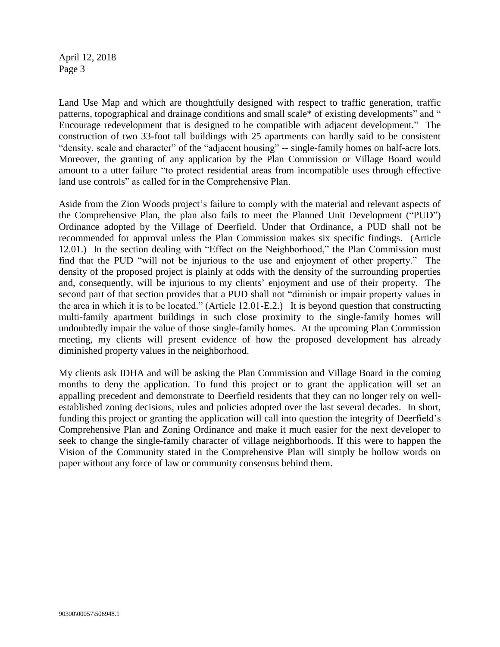April 12, 2018 Page 3

Land Use Map and which are thoughtfully designed with respect to traffic generation, traffic patterns, topographical and drainage conditions and small scale\* of existing developments" and " Encourage redevelopment that is designed to be compatible with adjacent development." The construction of two 33-foot tall buildings with 25 apartments can hardly said to be consistent "density, scale and character" of the "adjacent housing" -- single-family homes on half-acre lots. Moreover, the granting of any application by the Plan Commission or Village Board would amount to a utter failure "to protect residential areas from incompatible uses through effective land use controls" as called for in the Comprehensive Plan.

Aside from the Zion Woods project's failure to comply with the material and relevant aspects of the Comprehensive Plan, the plan also fails to meet the Planned Unit Development ("PUD") Ordinance adopted by the Village of Deerfield. Under that Ordinance, a PUD shall not be recommended for approval unless the Plan Commission makes six specific findings. (Article 12.01.) In the section dealing with "Effect on the Neighborhood," the Plan Commission must find that the PUD "will not be injurious to the use and enjoyment of other property." The density of the proposed project is plainly at odds with the density of the surrounding properties and, consequently, will be injurious to my clients' enjoyment and use of their property. The second part of that section provides that a PUD shall not "diminish or impair property values in the area in which it is to be located." (Article 12.01-E.2.) It is beyond question that constructing multi-family apartment buildings in such close proximity to the single-family homes will undoubtedly impair the value of those single-family homes. At the upcoming Plan Commission meeting, my clients will present evidence of how the proposed development has already diminished property values in the neighborhood.

My clients ask IDHA and will be asking the Plan Commission and Village Board in the coming months to deny the application. To fund this project or to grant the application will set an appalling precedent and demonstrate to Deerfield residents that they can no longer rely on wellestablished zoning decisions, rules and policies adopted over the last several decades. In short, funding this project or granting the application will call into question the integrity of Deerfield's Comprehensive Plan and Zoning Ordinance and make it much easier for the next developer to seek to change the single-family character of village neighborhoods. If this were to happen the Vision of the Community stated in the Comprehensive Plan will simply be hollow words on paper without any force of law or community consensus behind them.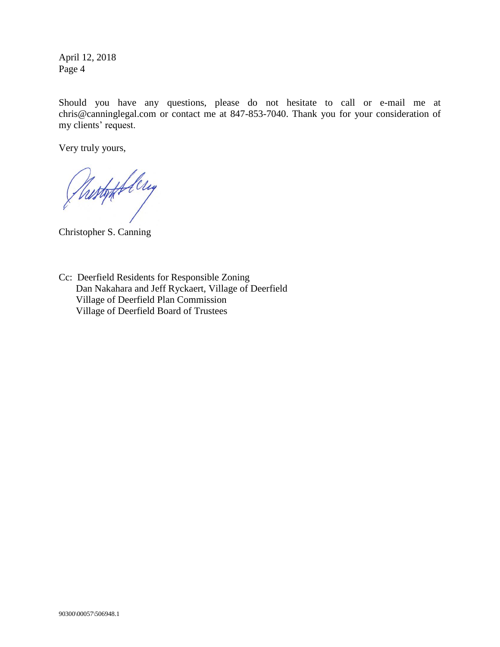April 12, 2018 Page 4

Should you have any questions, please do not hesitate to call or e-mail me at chris@canninglegal.com or contact me at 847-853-7040. Thank you for your consideration of my clients' request.

Very truly yours,

Rustoff flery

Christopher S. Canning

Cc: Deerfield Residents for Responsible Zoning Dan Nakahara and Jeff Ryckaert, Village of Deerfield Village of Deerfield Plan Commission Village of Deerfield Board of Trustees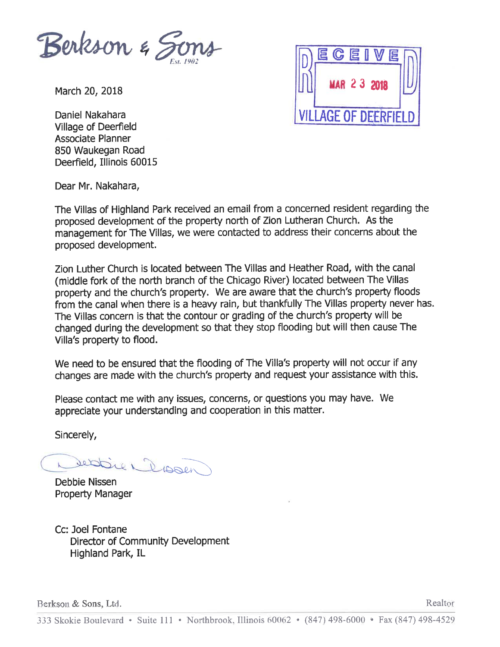

March 20, 2018

Daniel Nakahara **Village of Deerfield Associate Planner** 850 Waukegan Road Deerfield, Illinois 60015



Dear Mr. Nakahara,

The Villas of Highland Park received an email from a concerned resident regarding the proposed development of the property north of Zion Lutheran Church. As the management for The Villas, we were contacted to address their concerns about the proposed development.

Zion Luther Church is located between The Villas and Heather Road, with the canal (middle fork of the north branch of the Chicago River) located between The Villas property and the church's property. We are aware that the church's property floods from the canal when there is a heavy rain, but thankfully The Villas property never has. The Villas concern is that the contour or grading of the church's property will be changed during the development so that they stop flooding but will then cause The Villa's property to flood.

We need to be ensured that the flooding of The Villa's property will not occur if any changes are made with the church's property and request your assistance with this.

Please contact me with any issues, concerns, or questions you may have. We appreciate your understanding and cooperation in this matter.

Sincerely,

Debbien Dissen

Debbie Nissen **Property Manager** 

Cc: Joel Fontane Director of Community Development Highland Park, IL

Berkson & Sons, Ltd.

Realtor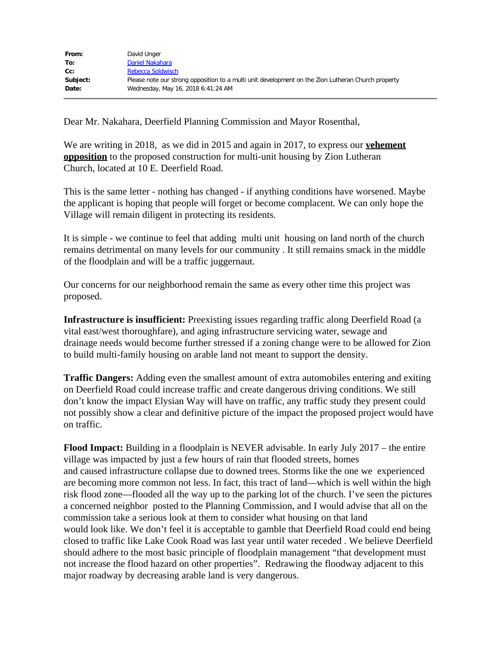| From:    | David Unger                                                                                        |
|----------|----------------------------------------------------------------------------------------------------|
| To:      | Daniel Nakahara                                                                                    |
| cc:      | Rebecca Soldwisch                                                                                  |
| Subject: | Please note our strong opposition to a multi unit development on the Zion Lutheran Church property |
| Date:    | Wednesday, May 16, 2018 6:41:24 AM                                                                 |
|          |                                                                                                    |

Dear Mr. Nakahara, Deerfield Planning Commission and Mayor Rosenthal,

We are writing in 2018, as we did in 2015 and again in 2017, to express our **vehement opposition** to the proposed construction for multi-unit housing by Zion Lutheran Church, located at 10 E. Deerfield Road.

This is the same letter - nothing has changed - if anything conditions have worsened. Maybe the applicant is hoping that people will forget or become complacent. We can only hope the Village will remain diligent in protecting its residents.

It is simple - we continue to feel that adding multi unit housing on land north of the church remains detrimental on many levels for our community . It still remains smack in the middle of the floodplain and will be a traffic juggernaut.

Our concerns for our neighborhood remain the same as every other time this project was proposed.

**Infrastructure is insufficient:** Preexisting issues regarding traffic along Deerfield Road (a vital east/west thoroughfare), and aging infrastructure servicing water, sewage and drainage needs would become further stressed if a zoning change were to be allowed for Zion to build multi-family housing on arable land not meant to support the density.

**Traffic Dangers:** Adding even the smallest amount of extra automobiles entering and exiting on Deerfield Road could increase traffic and create dangerous driving conditions. We still don't know the impact Elysian Way will have on traffic, any traffic study they present could not possibly show a clear and definitive picture of the impact the proposed project would have on traffic.

**Flood Impact:** Building in a floodplain is NEVER advisable. In early July 2017 – the entire village was impacted by just a few hours of rain that flooded streets, homes and caused infrastructure collapse due to downed trees. Storms like the one we experienced are becoming more common not less. In fact, this tract of land—which is well within the high risk flood zone—flooded all the way up to the parking lot of the church. I've seen the pictures a concerned neighbor posted to the Planning Commission, and I would advise that all on the commission take a serious look at them to consider what housing on that land would look like. We don't feel it is acceptable to gamble that Deerfield Road could end being closed to traffic like Lake Cook Road was last year until water receded . We believe Deerfield should adhere to the most basic principle of floodplain management "that development must not increase the flood hazard on other properties". Redrawing the floodway adjacent to this major roadway by decreasing arable land is very dangerous.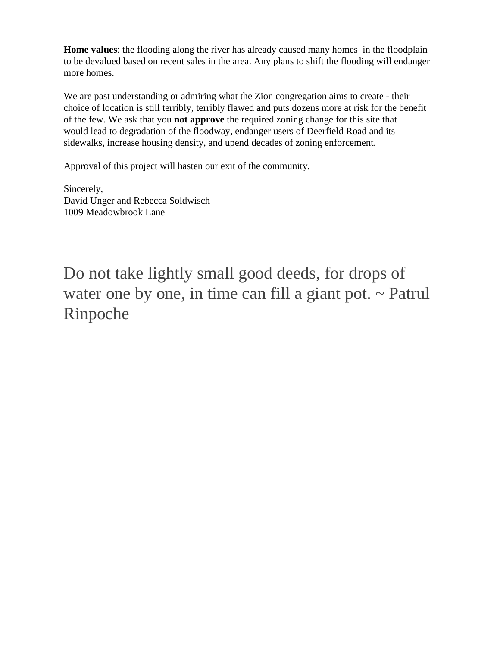**Home values**: the flooding along the river has already caused many homes in the floodplain to be devalued based on recent sales in the area. Any plans to shift the flooding will endanger more homes.

We are past understanding or admiring what the Zion congregation aims to create - their choice of location is still terribly, terribly flawed and puts dozens more at risk for the benefit of the few. We ask that you **not approve** the required zoning change for this site that would lead to degradation of the floodway, endanger users of Deerfield Road and its sidewalks, increase housing density, and upend decades of zoning enforcement.

Approval of this project will hasten our exit of the community.

Sincerely, David Unger and Rebecca Soldwisch 1009 Meadowbrook Lane

Do not take lightly small good deeds, for drops of water one by one, in time can fill a giant pot.  $\sim$  Patrul Rinpoche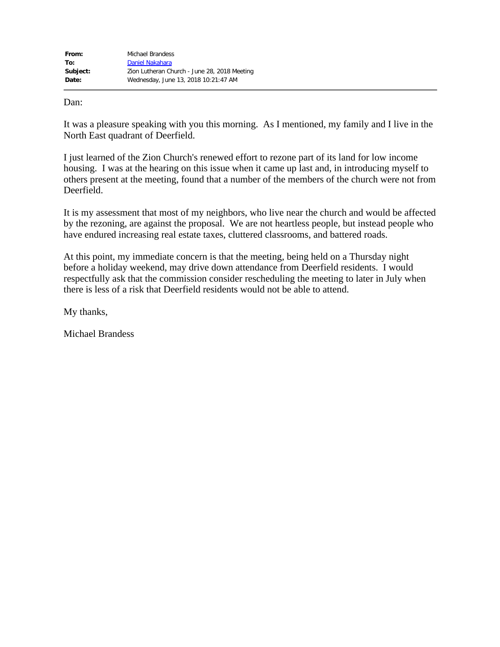| From:    | Michael Brandess                             |
|----------|----------------------------------------------|
| To:      | Daniel Nakahara                              |
| Subject: | Zion Lutheran Church - June 28, 2018 Meeting |
| Date:    | Wednesday, June 13, 2018 10:21:47 AM         |

Dan:

It was a pleasure speaking with you this morning. As I mentioned, my family and I live in the North East quadrant of Deerfield.

I just learned of the Zion Church's renewed effort to rezone part of its land for low income housing. I was at the hearing on this issue when it came up last and, in introducing myself to others present at the meeting, found that a number of the members of the church were not from Deerfield.

It is my assessment that most of my neighbors, who live near the church and would be affected by the rezoning, are against the proposal. We are not heartless people, but instead people who have endured increasing real estate taxes, cluttered classrooms, and battered roads.

At this point, my immediate concern is that the meeting, being held on a Thursday night before a holiday weekend, may drive down attendance from Deerfield residents. I would respectfully ask that the commission consider rescheduling the meeting to later in July when there is less of a risk that Deerfield residents would not be able to attend.

My thanks,

Michael Brandess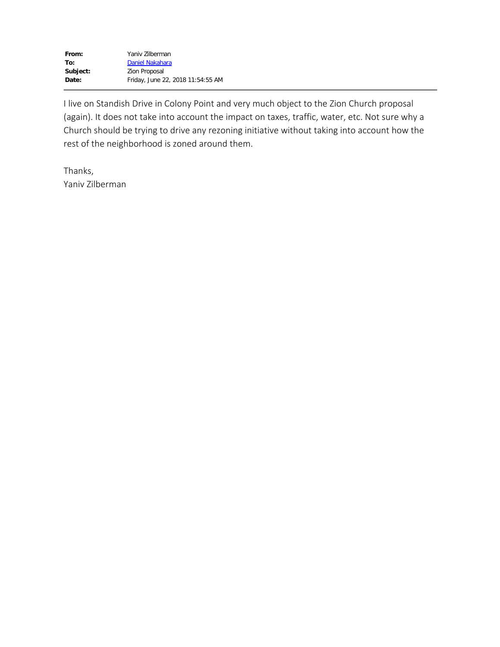I live on Standish Drive in Colony Point and very much object to the Zion Church proposal (again). It does not take into account the impact on taxes, traffic, water, etc. Not sure why a Church should be trying to drive any rezoning initiative without taking into account how the rest of the neighborhood is zoned around them.

Thanks, Yaniv Zilberman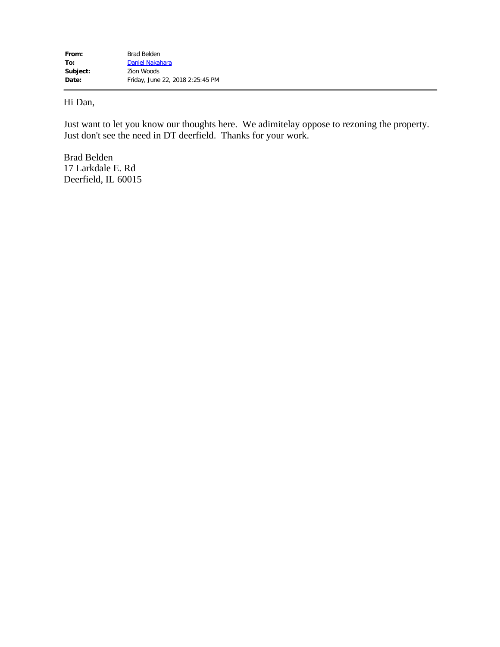# Hi Dan,

Just want to let you know our thoughts here. We adimitelay oppose to rezoning the property. Just don't see the need in DT deerfield. Thanks for your work.

Brad Belden 17 Larkdale E. Rd Deerfield, IL 60015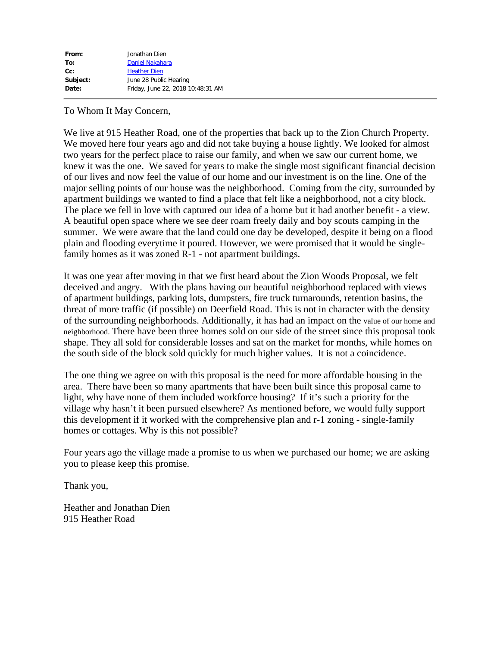| From:    | Jonathan Dien                     |
|----------|-----------------------------------|
| To:      | Daniel Nakahara                   |
| $Cc$ :   | <b>Heather Dien</b>               |
| Subject: | June 28 Public Hearing            |
| Date:    | Friday, June 22, 2018 10:48:31 AM |
|          |                                   |

## To Whom It May Concern,

We live at 915 Heather Road, one of the properties that back up to the Zion Church Property. We moved here four years ago and did not take buying a house lightly. We looked for almost two years for the perfect place to raise our family, and when we saw our current home, we knew it was the one. We saved for years to make the single most significant financial decision of our lives and now feel the value of our home and our investment is on the line. One of the major selling points of our house was the neighborhood. Coming from the city, surrounded by apartment buildings we wanted to find a place that felt like a neighborhood, not a city block. The place we fell in love with captured our idea of a home but it had another benefit - a view. A beautiful open space where we see deer roam freely daily and boy scouts camping in the summer. We were aware that the land could one day be developed, despite it being on a flood plain and flooding everytime it poured. However, we were promised that it would be singlefamily homes as it was zoned R-1 - not apartment buildings.

It was one year after moving in that we first heard about the Zion Woods Proposal, we felt deceived and angry. With the plans having our beautiful neighborhood replaced with views of apartment buildings, parking lots, dumpsters, fire truck turnarounds, retention basins, the threat of more traffic (if possible) on Deerfield Road. This is not in character with the density of the surrounding neighborhoods. Additionally, it has had an impact on the value of our home and neighborhood. There have been three homes sold on our side of the street since this proposal took shape. They all sold for considerable losses and sat on the market for months, while homes on the south side of the block sold quickly for much higher values. It is not a coincidence.

The one thing we agree on with this proposal is the need for more affordable housing in the area. There have been so many apartments that have been built since this proposal came to light, why have none of them included workforce housing? If it's such a priority for the village why hasn't it been pursued elsewhere? As mentioned before, we would fully support this development if it worked with the comprehensive plan and r-1 zoning - single-family homes or cottages. Why is this not possible?

Four years ago the village made a promise to us when we purchased our home; we are asking you to please keep this promise.

Thank you,

Heather and Jonathan Dien 915 Heather Road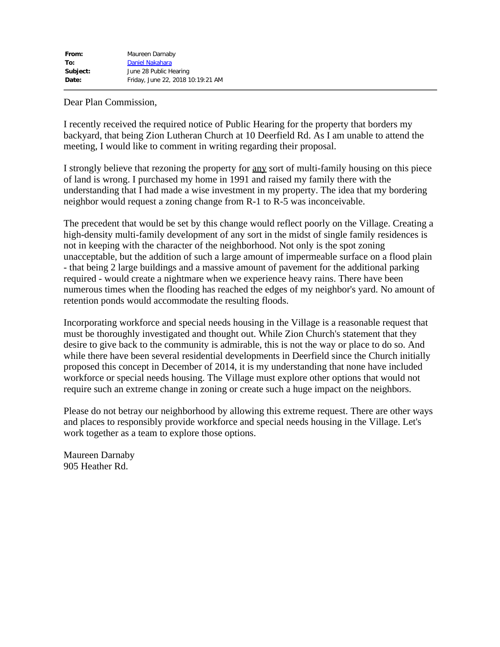Dear Plan Commission,

I recently received the required notice of Public Hearing for the property that borders my backyard, that being Zion Lutheran Church at 10 Deerfield Rd. As I am unable to attend the meeting, I would like to comment in writing regarding their proposal.

I strongly believe that rezoning the property for any sort of multi-family housing on this piece of land is wrong. I purchased my home in 1991 and raised my family there with the understanding that I had made a wise investment in my property. The idea that my bordering neighbor would request a zoning change from R-1 to R-5 was inconceivable.

The precedent that would be set by this change would reflect poorly on the Village. Creating a high-density multi-family development of any sort in the midst of single family residences is not in keeping with the character of the neighborhood. Not only is the spot zoning unacceptable, but the addition of such a large amount of impermeable surface on a flood plain - that being 2 large buildings and a massive amount of pavement for the additional parking required - would create a nightmare when we experience heavy rains. There have been numerous times when the flooding has reached the edges of my neighbor's yard. No amount of retention ponds would accommodate the resulting floods.

Incorporating workforce and special needs housing in the Village is a reasonable request that must be thoroughly investigated and thought out. While Zion Church's statement that they desire to give back to the community is admirable, this is not the way or place to do so. And while there have been several residential developments in Deerfield since the Church initially proposed this concept in December of 2014, it is my understanding that none have included workforce or special needs housing. The Village must explore other options that would not require such an extreme change in zoning or create such a huge impact on the neighbors.

Please do not betray our neighborhood by allowing this extreme request. There are other ways and places to responsibly provide workforce and special needs housing in the Village. Let's work together as a team to explore those options.

Maureen Darnaby 905 Heather Rd.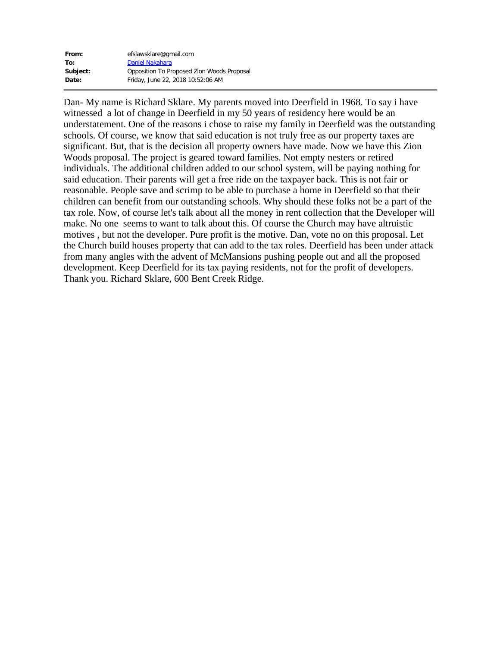| From:    | efslawsklare@gmail.com                     |
|----------|--------------------------------------------|
| To:      | Daniel Nakahara                            |
| Subject: | Opposition To Proposed Zion Woods Proposal |
| Date:    | Friday, June 22, 2018 10:52:06 AM          |

Dan- My name is Richard Sklare. My parents moved into Deerfield in 1968. To say i have witnessed a lot of change in Deerfield in my 50 years of residency here would be an understatement. One of the reasons i chose to raise my family in Deerfield was the outstanding schools. Of course, we know that said education is not truly free as our property taxes are significant. But, that is the decision all property owners have made. Now we have this Zion Woods proposal. The project is geared toward families. Not empty nesters or retired individuals. The additional children added to our school system, will be paying nothing for said education. Their parents will get a free ride on the taxpayer back. This is not fair or reasonable. People save and scrimp to be able to purchase a home in Deerfield so that their children can benefit from our outstanding schools. Why should these folks not be a part of the tax role. Now, of course let's talk about all the money in rent collection that the Developer will make. No one seems to want to talk about this. Of course the Church may have altruistic motives , but not the developer. Pure profit is the motive. Dan, vote no on this proposal. Let the Church build houses property that can add to the tax roles. Deerfield has been under attack from many angles with the advent of McMansions pushing people out and all the proposed development. Keep Deerfield for its tax paying residents, not for the profit of developers. Thank you. Richard Sklare, 600 Bent Creek Ridge.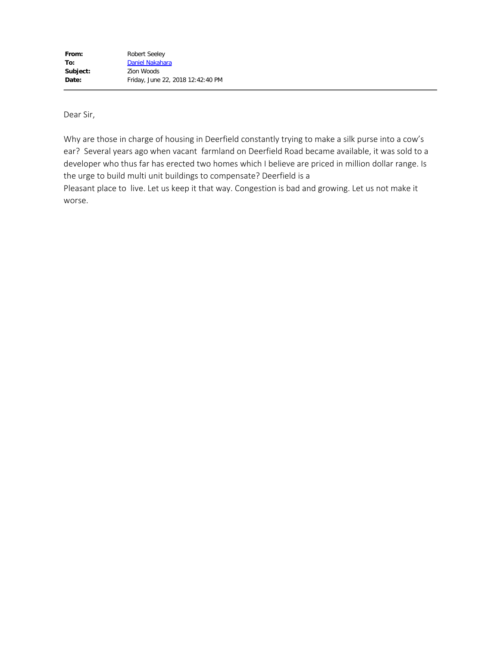Dear Sir,

Why are those in charge of housing in Deerfield constantly trying to make a silk purse into a cow's ear? Several years ago when vacant farmland on Deerfield Road became available, it was sold to a developer who thus far has erected two homes which I believe are priced in million dollar range. Is the urge to build multi unit buildings to compensate? Deerfield is a Pleasant place to live. Let us keep it that way. Congestion is bad and growing. Let us not make it

worse.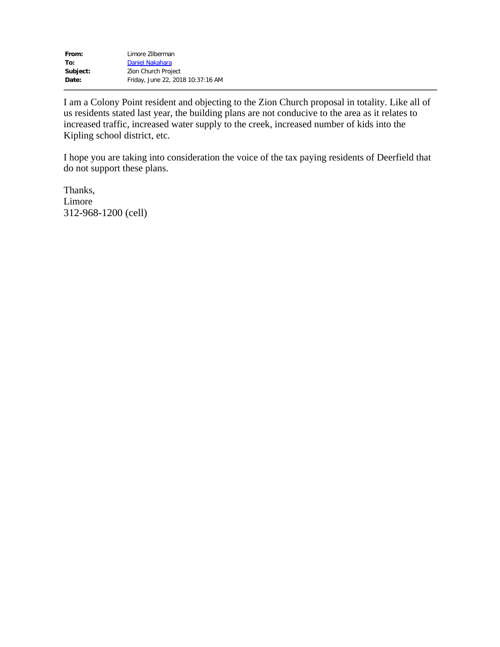| From:    | Limore Zilberman                  |
|----------|-----------------------------------|
| To:      | Daniel Nakahara                   |
| Subject: | Zion Church Project               |
| Date:    | Friday, June 22, 2018 10:37:16 AM |

I am a Colony Point resident and objecting to the Zion Church proposal in totality. Like all of us residents stated last year, the building plans are not conducive to the area as it relates to increased traffic, increased water supply to the creek, increased number of kids into the Kipling school district, etc.

I hope you are taking into consideration the voice of the tax paying residents of Deerfield that do not support these plans.

Thanks, Limore 312-968-1200 (cell)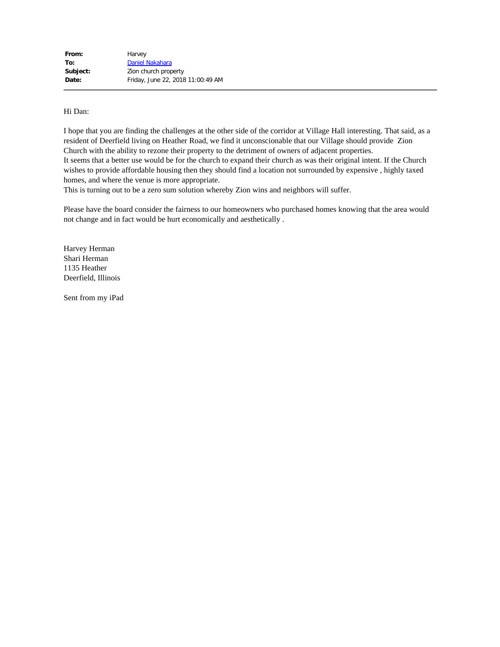#### Hi Dan:

I hope that you are finding the challenges at the other side of the corridor at Village Hall interesting. That said, as a resident of Deerfield living on Heather Road, we find it unconscionable that our Village should provide Zion Church with the ability to rezone their property to the detriment of owners of adjacent properties. It seems that a better use would be for the church to expand their church as was their original intent. If the Church wishes to provide affordable housing then they should find a location not surrounded by expensive , highly taxed homes, and where the venue is more appropriate.

This is turning out to be a zero sum solution whereby Zion wins and neighbors will suffer.

Please have the board consider the fairness to our homeowners who purchased homes knowing that the area would not change and in fact would be hurt economically and aesthetically .

Harvey Herman Shari Herman 1135 Heather Deerfield, Illinois

Sent from my iPad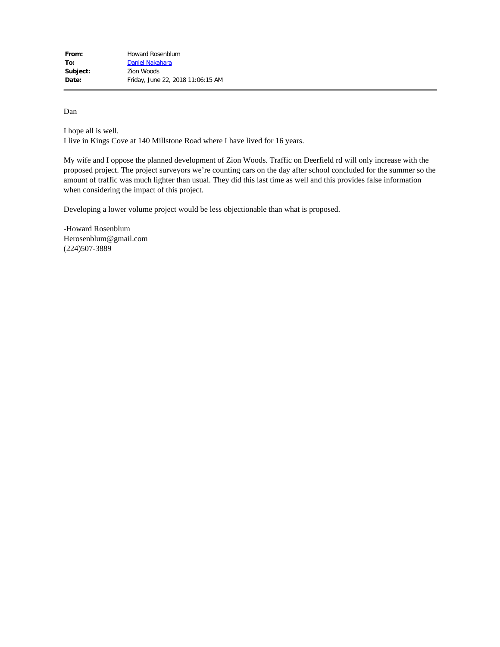Dan

I hope all is well. I live in Kings Cove at 140 Millstone Road where I have lived for 16 years.

My wife and I oppose the planned development of Zion Woods. Traffic on Deerfield rd will only increase with the proposed project. The project surveyors we're counting cars on the day after school concluded for the summer so the amount of traffic was much lighter than usual. They did this last time as well and this provides false information when considering the impact of this project.

Developing a lower volume project would be less objectionable than what is proposed.

-Howard Rosenblum Herosenblum@gmail.com (224)507-3889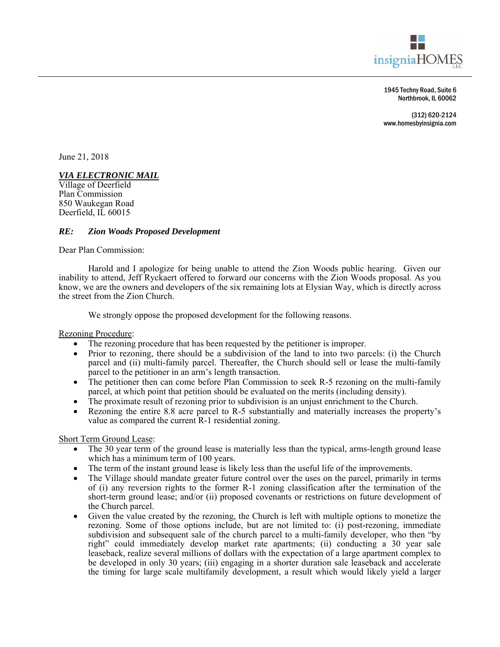

1945 Techny Road, Suite 6 Northbrook, IL 60062

(312) 620-2124 www.homesbyinsignia.com

June 21, 2018

### *VIA ELECTRONIC MAIL*

Village of Deerfield Plan Commission 850 Waukegan Road Deerfield, IL 60015

#### *RE: Zion Woods Proposed Development*

Dear Plan Commission:

Harold and I apologize for being unable to attend the Zion Woods public hearing. Given our inability to attend, Jeff Ryckaert offered to forward our concerns with the Zion Woods proposal. As you know, we are the owners and developers of the six remaining lots at Elysian Way, which is directly across the street from the Zion Church.

We strongly oppose the proposed development for the following reasons.

Rezoning Procedure:

- The rezoning procedure that has been requested by the petitioner is improper.
- Prior to rezoning, there should be a subdivision of the land to into two parcels: (i) the Church parcel and (ii) multi-family parcel. Thereafter, the Church should sell or lease the multi-family parcel to the petitioner in an arm's length transaction.
- The petitioner then can come before Plan Commission to seek R-5 rezoning on the multi-family parcel, at which point that petition should be evaluated on the merits (including density).
- The proximate result of rezoning prior to subdivision is an unjust enrichment to the Church.
- Rezoning the entire 8.8 acre parcel to R-5 substantially and materially increases the property's value as compared the current R-1 residential zoning.

Short Term Ground Lease:

- The 30 year term of the ground lease is materially less than the typical, arms-length ground lease which has a minimum term of 100 years.
- The term of the instant ground lease is likely less than the useful life of the improvements.
- The Village should mandate greater future control over the uses on the parcel, primarily in terms of (i) any reversion rights to the former R-1 zoning classification after the termination of the short-term ground lease; and/or (ii) proposed covenants or restrictions on future development of the Church parcel.
- Given the value created by the rezoning, the Church is left with multiple options to monetize the rezoning. Some of those options include, but are not limited to: (i) post-rezoning, immediate subdivision and subsequent sale of the church parcel to a multi-family developer, who then "by right" could immediately develop market rate apartments; (ii) conducting a 30 year sale leaseback, realize several millions of dollars with the expectation of a large apartment complex to be developed in only 30 years; (iii) engaging in a shorter duration sale leaseback and accelerate the timing for large scale multifamily development, a result which would likely yield a larger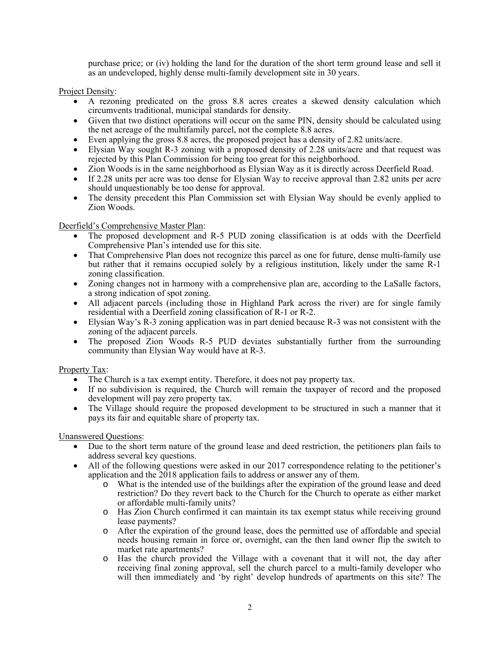purchase price; or (iv) holding the land for the duration of the short term ground lease and sell it as an undeveloped, highly dense multi-family development site in 30 years.

Project Density:

- A rezoning predicated on the gross 8.8 acres creates a skewed density calculation which circumvents traditional, municipal standards for density.
- Given that two distinct operations will occur on the same PIN, density should be calculated using the net acreage of the multifamily parcel, not the complete 8.8 acres.
- Even applying the gross 8.8 acres, the proposed project has a density of 2.82 units/acre.
- Elysian Way sought R-3 zoning with a proposed density of 2.28 units/acre and that request was rejected by this Plan Commission for being too great for this neighborhood.
- Zion Woods is in the same neighborhood as Elysian Way as it is directly across Deerfield Road.
- If 2.28 units per acre was too dense for Elysian Way to receive approval than 2.82 units per acre should unquestionably be too dense for approval.
- The density precedent this Plan Commission set with Elysian Way should be evenly applied to Zion Woods.

Deerfield's Comprehensive Master Plan:

- The proposed development and R-5 PUD zoning classification is at odds with the Deerfield Comprehensive Plan's intended use for this site.
- That Comprehensive Plan does not recognize this parcel as one for future, dense multi-family use but rather that it remains occupied solely by a religious institution, likely under the same R-1 zoning classification.
- Zoning changes not in harmony with a comprehensive plan are, according to the LaSalle factors, a strong indication of spot zoning.
- All adjacent parcels (including those in Highland Park across the river) are for single family residential with a Deerfield zoning classification of R-1 or R-2.
- Elysian Way's R-3 zoning application was in part denied because R-3 was not consistent with the zoning of the adjacent parcels.
- The proposed Zion Woods R-5 PUD deviates substantially further from the surrounding community than Elysian Way would have at R-3.

#### Property Tax:

- The Church is a tax exempt entity. Therefore, it does not pay property tax.
- If no subdivision is required, the Church will remain the taxpayer of record and the proposed development will pay zero property tax.
- The Village should require the proposed development to be structured in such a manner that it pays its fair and equitable share of property tax.

Unanswered Questions:

- Due to the short term nature of the ground lease and deed restriction, the petitioners plan fails to address several key questions.
- All of the following questions were asked in our 2017 correspondence relating to the petitioner's application and the 2018 application fails to address or answer any of them.
	- o What is the intended use of the buildings after the expiration of the ground lease and deed restriction? Do they revert back to the Church for the Church to operate as either market or affordable multi-family units?
	- o Has Zion Church confirmed it can maintain its tax exempt status while receiving ground lease payments?
	- o After the expiration of the ground lease, does the permitted use of affordable and special needs housing remain in force or, overnight, can the then land owner flip the switch to market rate apartments?
	- o Has the church provided the Village with a covenant that it will not, the day after receiving final zoning approval, sell the church parcel to a multi-family developer who will then immediately and 'by right' develop hundreds of apartments on this site? The